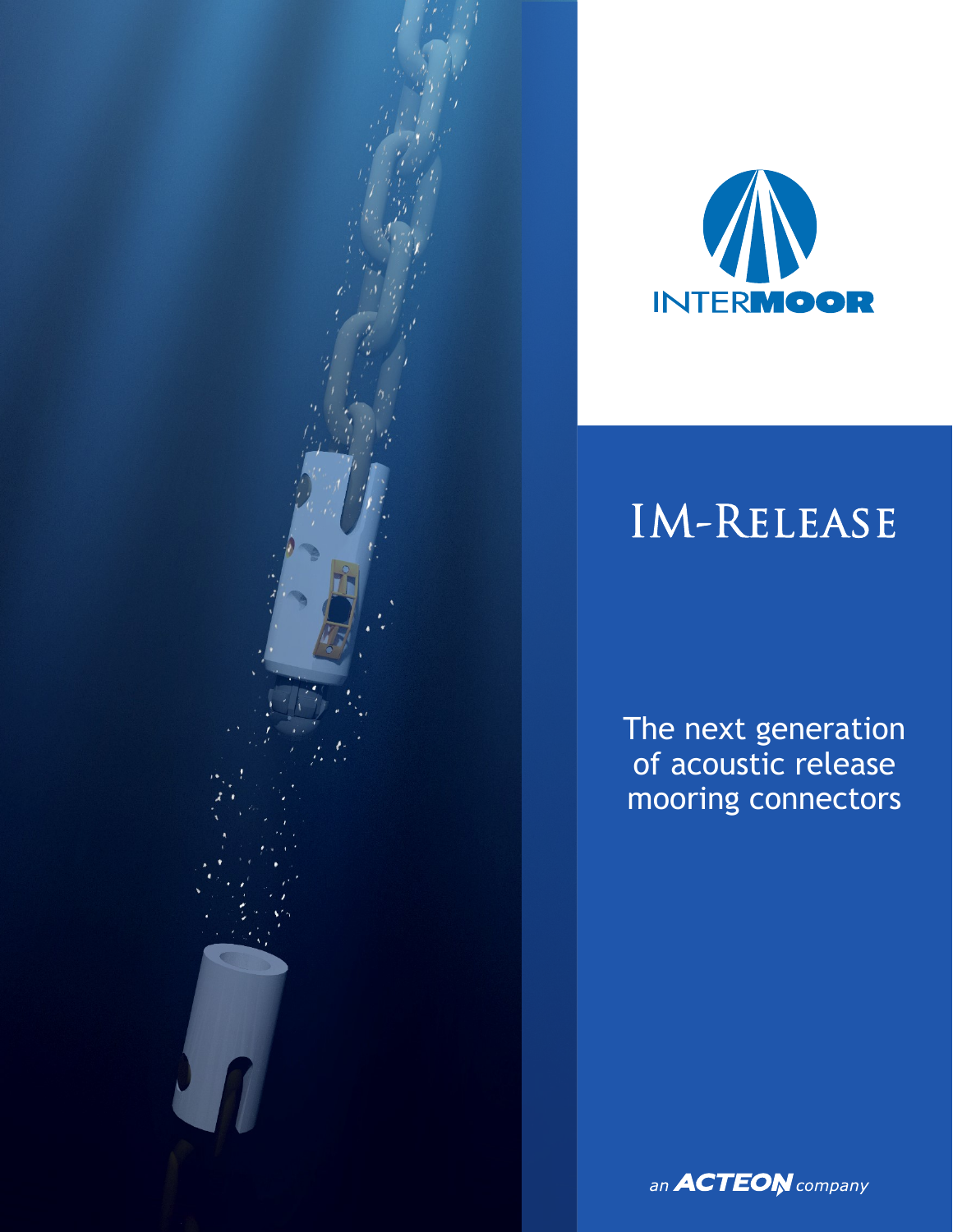



# IM-Release

The next generation of acoustic release mooring connectors